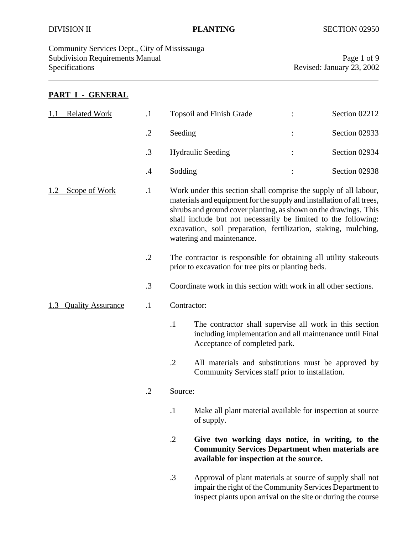Community Services Dept., City of Mississauga Subdivision Requirements Manual Page 1 of 9<br>Specifications Revised: January 23, 2002

Revised: January 23, 2002

### **PART I - GENERAL**

| <b>Related Work</b><br>1.1      | $\cdot$    | <b>Topsoil and Finish Grade</b>                                                                                                                                                                                                                                                                                                                                                 | Section 02212 |
|---------------------------------|------------|---------------------------------------------------------------------------------------------------------------------------------------------------------------------------------------------------------------------------------------------------------------------------------------------------------------------------------------------------------------------------------|---------------|
|                                 | $\cdot$ .2 | Seeding                                                                                                                                                                                                                                                                                                                                                                         | Section 02933 |
|                                 | .3         | <b>Hydraulic Seeding</b>                                                                                                                                                                                                                                                                                                                                                        | Section 02934 |
|                                 | .4         | Sodding                                                                                                                                                                                                                                                                                                                                                                         | Section 02938 |
| <b>Scope of Work</b>            | $\cdot$    | Work under this section shall comprise the supply of all labour,<br>materials and equipment for the supply and installation of all trees,<br>shrubs and ground cover planting, as shown on the drawings. This<br>shall include but not necessarily be limited to the following:<br>excavation, soil preparation, fertilization, staking, mulching,<br>watering and maintenance. |               |
|                                 | $\cdot$ .2 | The contractor is responsible for obtaining all utility stakeouts<br>prior to excavation for tree pits or planting beds.                                                                                                                                                                                                                                                        |               |
|                                 | $\cdot$ 3  | Coordinate work in this section with work in all other sections.                                                                                                                                                                                                                                                                                                                |               |
| <b>Quality Assurance</b><br>1.3 | $\cdot$    | Contractor:                                                                                                                                                                                                                                                                                                                                                                     |               |
|                                 |            | $\cdot$ 1<br>The contractor shall supervise all work in this section<br>including implementation and all maintenance until Final<br>Acceptance of completed park.                                                                                                                                                                                                               |               |
|                                 |            | $\cdot$ .2<br>All materials and substitutions must be approved by<br>Community Services staff prior to installation.                                                                                                                                                                                                                                                            |               |
|                                 | $\cdot$ .2 | Source:                                                                                                                                                                                                                                                                                                                                                                         |               |
|                                 |            | Make all plant material available for inspection at source<br>$\cdot$<br>of supply.                                                                                                                                                                                                                                                                                             |               |
|                                 |            | $\cdot$ .2<br>Give two working days notice, in writing, to the<br><b>Community Services Department when materials are</b><br>available for inspection at the source.                                                                                                                                                                                                            |               |
|                                 |            | $\cdot$ 3<br>Approval of plant materials at source of supply shall not<br>impair the right of the Community Services Department to                                                                                                                                                                                                                                              |               |

inspect plants upon arrival on the site or during the course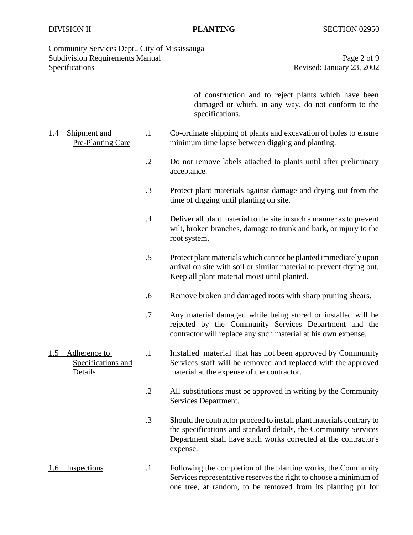### Community Services Dept., City of Mississauga Subdivision Requirements Manual **Page 2 of 9** and Page 2 of 9 Specifications Revised: January 23, 2002

|     |                                               |            | of construction and to reject plants which have been<br>damaged or which, in any way, do not conform to the<br>specifications.                                                                                        |
|-----|-----------------------------------------------|------------|-----------------------------------------------------------------------------------------------------------------------------------------------------------------------------------------------------------------------|
| 1.4 | Shipment and<br><b>Pre-Planting Care</b>      | $\cdot$ 1  | Co-ordinate shipping of plants and excavation of holes to ensure<br>minimum time lapse between digging and planting.                                                                                                  |
|     |                                               | $\cdot$ .2 | Do not remove labels attached to plants until after preliminary<br>acceptance.                                                                                                                                        |
|     |                                               | .3         | Protect plant materials against damage and drying out from the<br>time of digging until planting on site.                                                                                                             |
|     |                                               | .4         | Deliver all plant material to the site in such a manner as to prevent<br>wilt, broken branches, damage to trunk and bark, or injury to the<br>root system.                                                            |
|     |                                               | .5         | Protect plant materials which cannot be planted immediately upon<br>arrival on site with soil or similar material to prevent drying out.<br>Keep all plant material moist until planted.                              |
|     |                                               | .6         | Remove broken and damaged roots with sharp pruning shears.                                                                                                                                                            |
|     |                                               | .7         | Any material damaged while being stored or installed will be<br>rejected by the Community Services Department and the<br>contractor will replace any such material at his own expense.                                |
| 1.5 | Adherence to<br>Specifications and<br>Details | $\cdot$ 1  | Installed material that has not been approved by Community<br>Services staff will be removed and replaced with the approved<br>material at the expense of the contractor.                                             |
|     |                                               | $\cdot$    | All substitutions must be approved in writing by the Community<br>Services Department.                                                                                                                                |
|     |                                               | .3         | Should the contractor proceed to install plant materials contrary to<br>the specifications and standard details, the Community Services<br>Department shall have such works corrected at the contractor's<br>expense. |
| 1.6 | <b>Inspections</b>                            | $\cdot$    | Following the completion of the planting works, the Community<br>Services representative reserves the right to choose a minimum of<br>one tree, at random, to be removed from its planting pit for                    |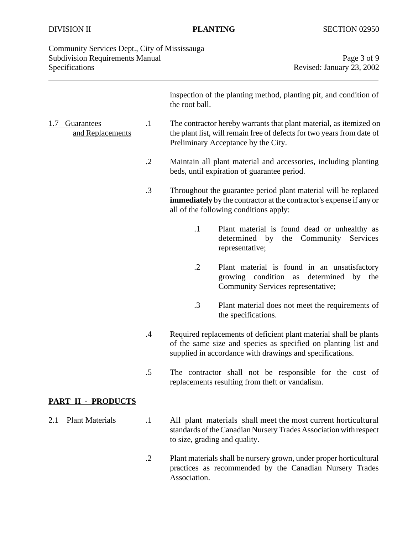| Community Services Dept., City of Mississauga |                           |
|-----------------------------------------------|---------------------------|
| <b>Subdivision Requirements Manual</b>        | Page 3 of 9               |
| <b>Specifications</b>                         | Revised: January 23, 2002 |

|                                       |            | inspection of the planting method, planting pit, and condition of<br>the root ball.                                                                                                             |  |
|---------------------------------------|------------|-------------------------------------------------------------------------------------------------------------------------------------------------------------------------------------------------|--|
| Guarantees<br>1.7<br>and Replacements | $\cdot$ 1  | The contractor hereby warrants that plant material, as itemized on<br>the plant list, will remain free of defects for two years from date of<br>Preliminary Acceptance by the City.             |  |
|                                       | $\cdot$ .2 | Maintain all plant material and accessories, including planting<br>beds, until expiration of guarantee period.                                                                                  |  |
|                                       | $\cdot$ 3  | Throughout the guarantee period plant material will be replaced<br>immediately by the contractor at the contractor's expense if any or<br>all of the following conditions apply:                |  |
|                                       |            | $\cdot$ 1<br>Plant material is found dead or unhealthy as<br>determined by the Community<br>Services<br>representative;                                                                         |  |
|                                       |            | $\cdot$ .2<br>Plant material is found in an unsatisfactory<br>growing condition<br>determined<br>the<br>as<br>by<br>Community Services representative;                                          |  |
|                                       |            | $\cdot$ 3<br>Plant material does not meet the requirements of<br>the specifications.                                                                                                            |  |
|                                       | .4         | Required replacements of deficient plant material shall be plants<br>of the same size and species as specified on planting list and<br>supplied in accordance with drawings and specifications. |  |
|                                       | .5         | The contractor shall not be responsible for the cost of<br>replacements resulting from theft or vandalism.                                                                                      |  |
| <b>PART II - PRODUCTS</b>             |            |                                                                                                                                                                                                 |  |
| <b>Plant Materials</b><br>2.1         | $\cdot$ 1  | All plant materials shall meet the most current horticultural<br>standards of the Canadian Nursery Trades Association with respect<br>to size, grading and quality.                             |  |
|                                       | $\cdot$ .2 | Plant materials shall be nursery grown, under proper horticultural<br>practices as recommended by the Canadian Nursery Trades<br>Association.                                                   |  |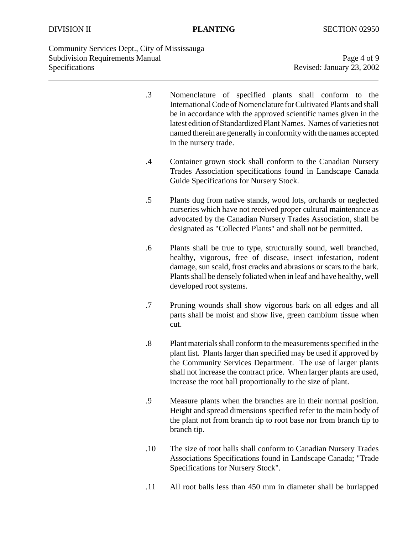Community Services Dept., City of Mississauga Subdivision Requirements Manual Page 4 of 9<br>Specifications Revised: January 23, 2002

Revised: January 23, 2002

| $\cdot$ 3 | Nomenclature of specified plants shall conform to the<br>International Code of Nomenclature for Cultivated Plants and shall<br>be in accordance with the approved scientific names given in the<br>latest edition of Standardized Plant Names. Names of varieties not<br>named therein are generally in conformity with the names accepted<br>in the nursery trade. |
|-----------|---------------------------------------------------------------------------------------------------------------------------------------------------------------------------------------------------------------------------------------------------------------------------------------------------------------------------------------------------------------------|
| .4        | Container grown stock shall conform to the Canadian Nursery<br>Trades Association specifications found in Landscape Canada<br>Guide Specifications for Nursery Stock.                                                                                                                                                                                               |
| .5        | Plants dug from native stands, wood lots, orchards or neglected<br>nurseries which have not received proper cultural maintenance as<br>advocated by the Canadian Nursery Trades Association, shall be<br>designated as "Collected Plants" and shall not be permitted.                                                                                               |
| .6        | Plants shall be true to type, structurally sound, well branched,<br>healthy, vigorous, free of disease, insect infestation, rodent<br>damage, sun scald, frost cracks and abrasions or scars to the bark.<br>Plants shall be densely foliated when in leaf and have healthy, well<br>developed root systems.                                                        |
| .7        | Pruning wounds shall show vigorous bark on all edges and all<br>parts shall be moist and show live, green cambium tissue when<br>cut.                                                                                                                                                                                                                               |
| .8        | Plant materials shall conform to the measurements specified in the<br>plant list. Plants larger than specified may be used if approved by<br>the Community Services Department. The use of larger plants<br>shall not increase the contract price. When larger plants are used,<br>increase the root ball proportionally to the size of plant.                      |

- .9 Measure plants when the branches are in their normal position. Height and spread dimensions specified refer to the main body of the plant not from branch tip to root base nor from branch tip to branch tip.
- .10 The size of root balls shall conform to Canadian Nursery Trades Associations Specifications found in Landscape Canada; "Trade Specifications for Nursery Stock".
- .11 All root balls less than 450 mm in diameter shall be burlapped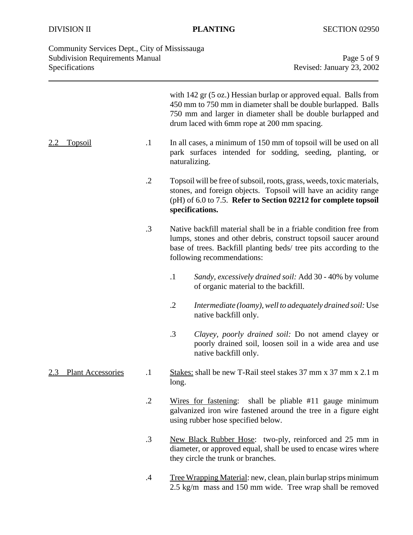Community Services Dept., City of Mississauga Subdivision Requirements Manual Page 5 of 9<br>Specifications Revised: January 23, 2002

Revised: January 23, 2002

|                                 |            | with $142$ gr $(5 \text{ oz.})$ Hessian burlap or approved equal. Balls from<br>450 mm to 750 mm in diameter shall be double burlapped. Balls<br>750 mm and larger in diameter shall be double burlapped and<br>drum laced with 6mm rope at 200 mm spacing. |
|---------------------------------|------------|-------------------------------------------------------------------------------------------------------------------------------------------------------------------------------------------------------------------------------------------------------------|
| <u>Topsoil</u><br>2.2           | $\cdot$    | In all cases, a minimum of 150 mm of topsoil will be used on all<br>park surfaces intended for sodding, seeding, planting, or<br>naturalizing.                                                                                                              |
|                                 | $\cdot$ .2 | Topsoil will be free of subsoil, roots, grass, weeds, toxic materials,<br>stones, and foreign objects. Topsoil will have an acidity range<br>(pH) of 6.0 to 7.5. Refer to Section 02212 for complete topsoil<br>specifications.                             |
|                                 | $\cdot$ 3  | Native backfill material shall be in a friable condition free from<br>lumps, stones and other debris, construct topsoil saucer around<br>base of trees. Backfill planting beds/ tree pits according to the<br>following recommendations:                    |
|                                 |            | $\cdot$ 1<br>Sandy, excessively drained soil: Add 30 - 40% by volume<br>of organic material to the backfill.                                                                                                                                                |
|                                 |            | $\cdot$ .2<br>Intermediate (loamy), well to adequately drained soil: Use<br>native backfill only.                                                                                                                                                           |
|                                 |            | $\cdot$ 3<br>Clayey, poorly drained soil: Do not amend clayey or<br>poorly drained soil, loosen soil in a wide area and use<br>native backfill only.                                                                                                        |
| <b>Plant Accessories</b><br>2.3 | $\cdot$ 1  | Stakes: shall be new T-Rail steel stakes 37 mm x 37 mm x 2.1 m<br>long.                                                                                                                                                                                     |
|                                 | $\cdot$ .2 | Wires for fastening: shall be pliable #11 gauge minimum<br>galvanized iron wire fastened around the tree in a figure eight<br>using rubber hose specified below.                                                                                            |
|                                 | $\cdot$ 3  | New Black Rubber Hose: two-ply, reinforced and 25 mm in<br>diameter, or approved equal, shall be used to encase wires where<br>they circle the trunk or branches.                                                                                           |
|                                 | $\cdot$    | Tree Wrapping Material: new, clean, plain burlap strips minimum<br>2.5 kg/m mass and 150 mm wide. Tree wrap shall be removed                                                                                                                                |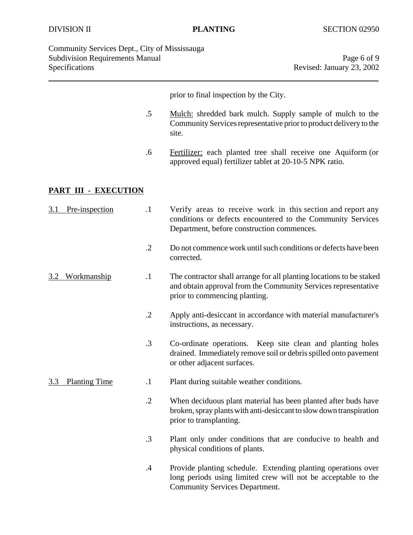| Community Services Dept., City of Mississauga |
|-----------------------------------------------|
| <b>Subdivision Requirements Manual</b>        |
| Specifications                                |

Page 6 of 9 Revised: January 23, 2002

prior to final inspection by the City.

- .5 Mulch: shredded bark mulch. Supply sample of mulch to the Community Services representative prior to product delivery to the site.
- .6 Fertilizer: each planted tree shall receive one Aquiform (or approved equal) fertilizer tablet at 20-10-5 NPK ratio.

# **PART III - EXECUTION**

| Pre-inspection<br>3.1       | $\cdot$ 1  | Verify areas to receive work in this section and report any<br>conditions or defects encountered to the Community Services<br>Department, before construction commences. |
|-----------------------------|------------|--------------------------------------------------------------------------------------------------------------------------------------------------------------------------|
|                             | $\cdot$ .2 | Do not commence work until such conditions or defects have been<br>corrected.                                                                                            |
| Workmanship<br>3.2          | $\cdot$ 1  | The contractor shall arrange for all planting locations to be staked<br>and obtain approval from the Community Services representative<br>prior to commencing planting.  |
|                             | $\cdot$ .2 | Apply anti-desiccant in accordance with material manufacturer's<br>instructions, as necessary.                                                                           |
|                             | .3         | Co-ordinate operations. Keep site clean and planting holes<br>drained. Immediately remove soil or debris spilled onto pavement<br>or other adjacent surfaces.            |
| <b>Planting Time</b><br>3.3 | $\cdot$ 1  | Plant during suitable weather conditions.                                                                                                                                |
|                             | $\cdot$ .2 | When deciduous plant material has been planted after buds have<br>broken, spray plants with anti-desiccant to slow down transpiration<br>prior to transplanting.         |
|                             | $\cdot$ 3  | Plant only under conditions that are conducive to health and<br>physical conditions of plants.                                                                           |
|                             | .4         | Provide planting schedule. Extending planting operations over<br>long periods using limited crew will not be acceptable to the<br><b>Community Services Department.</b>  |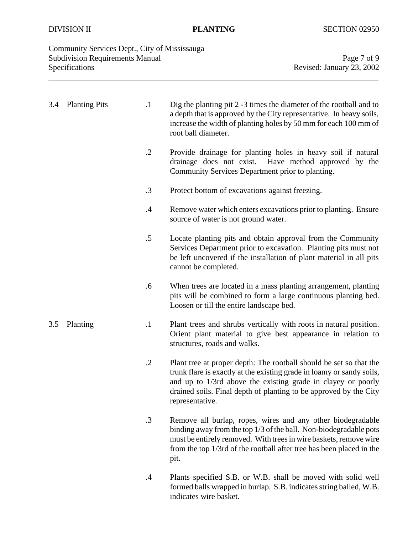| Community Services Dept., City of Mississauga |                           |
|-----------------------------------------------|---------------------------|
| <b>Subdivision Requirements Manual</b>        | Page 7 of 9               |
| Specifications                                | Revised: January 23, 2002 |

| <b>Planting Pits</b><br>3.4 |          | $\cdot$       | Dig the planting pit $2 - 3$ times the diameter of the rootball and to<br>a depth that is approved by the City representative. In heavy soils,<br>increase the width of planting holes by 50 mm for each 100 mm of<br>root ball diameter.                                                           |  |  |
|-----------------------------|----------|---------------|-----------------------------------------------------------------------------------------------------------------------------------------------------------------------------------------------------------------------------------------------------------------------------------------------------|--|--|
|                             |          | $\cdot$ .2    | Provide drainage for planting holes in heavy soil if natural<br>drainage does not exist.<br>Have method approved by the<br>Community Services Department prior to planting.                                                                                                                         |  |  |
|                             |          | $\cdot$ 3     | Protect bottom of excavations against freezing.                                                                                                                                                                                                                                                     |  |  |
|                             |          | $\mathcal{A}$ | Remove water which enters excavations prior to planting. Ensure<br>source of water is not ground water.                                                                                                                                                                                             |  |  |
|                             |          | .5            | Locate planting pits and obtain approval from the Community<br>Services Department prior to excavation. Planting pits must not<br>be left uncovered if the installation of plant material in all pits<br>cannot be completed.                                                                       |  |  |
|                             |          | .6            | When trees are located in a mass planting arrangement, planting<br>pits will be combined to form a large continuous planting bed.<br>Loosen or till the entire landscape bed.                                                                                                                       |  |  |
| 3.5                         | Planting | $\cdot$       | Plant trees and shrubs vertically with roots in natural position.<br>Orient plant material to give best appearance in relation to<br>structures, roads and walks.                                                                                                                                   |  |  |
|                             |          | $\cdot$ .2    | Plant tree at proper depth: The rootball should be set so that the<br>trunk flare is exactly at the existing grade in loamy or sandy soils,<br>and up to 1/3rd above the existing grade in clayey or poorly<br>drained soils. Final depth of planting to be approved by the City<br>representative. |  |  |
|                             |          | $\cdot$ 3     | Remove all burlap, ropes, wires and any other biodegradable<br>binding away from the top 1/3 of the ball. Non-biodegradable pots<br>must be entirely removed. With trees in wire baskets, remove wire<br>from the top 1/3rd of the rootball after tree has been placed in the<br>pit.               |  |  |
|                             |          | $\cdot$ 4     | Plants specified S.B. or W.B. shall be moved with solid well<br>formed balls wrapped in burlap. S.B. indicates string balled, W.B.<br>indicates wire basket.                                                                                                                                        |  |  |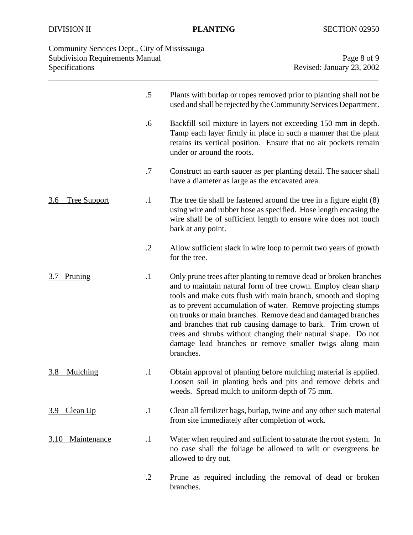| Community Services Dept., City of Mississauga<br><b>Subdivision Requirements Manual</b> |            | Page 8 of 9                                                                                                                                                                                                                                                                                                                                                                                                                                                                                                                                    |
|-----------------------------------------------------------------------------------------|------------|------------------------------------------------------------------------------------------------------------------------------------------------------------------------------------------------------------------------------------------------------------------------------------------------------------------------------------------------------------------------------------------------------------------------------------------------------------------------------------------------------------------------------------------------|
| Specifications                                                                          |            | Revised: January 23, 2002                                                                                                                                                                                                                                                                                                                                                                                                                                                                                                                      |
|                                                                                         | .5         | Plants with burlap or ropes removed prior to planting shall not be<br>used and shall be rejected by the Community Services Department.                                                                                                                                                                                                                                                                                                                                                                                                         |
|                                                                                         | .6         | Backfill soil mixture in layers not exceeding 150 mm in depth.<br>Tamp each layer firmly in place in such a manner that the plant<br>retains its vertical position. Ensure that no air pockets remain<br>under or around the roots.                                                                                                                                                                                                                                                                                                            |
|                                                                                         | .7         | Construct an earth saucer as per planting detail. The saucer shall<br>have a diameter as large as the excavated area.                                                                                                                                                                                                                                                                                                                                                                                                                          |
| <b>Tree Support</b><br>3.6                                                              | $\cdot$    | The tree tie shall be fastened around the tree in a figure eight $(8)$<br>using wire and rubber hose as specified. Hose length encasing the<br>wire shall be of sufficient length to ensure wire does not touch<br>bark at any point.                                                                                                                                                                                                                                                                                                          |
|                                                                                         | $\cdot$ .2 | Allow sufficient slack in wire loop to permit two years of growth<br>for the tree.                                                                                                                                                                                                                                                                                                                                                                                                                                                             |
| Pruning                                                                                 | $\cdot$    | Only prune trees after planting to remove dead or broken branches<br>and to maintain natural form of tree crown. Employ clean sharp<br>tools and make cuts flush with main branch, smooth and sloping<br>as to prevent accumulation of water. Remove projecting stumps<br>on trunks or main branches. Remove dead and damaged branches<br>and branches that rub causing damage to bark. Trim crown of<br>trees and shrubs without changing their natural shape. Do not<br>damage lead branches or remove smaller twigs along main<br>branches. |
| Mulching<br>3.8                                                                         | $\cdot$    | Obtain approval of planting before mulching material is applied.<br>Loosen soil in planting beds and pits and remove debris and<br>weeds. Spread mulch to uniform depth of 75 mm.                                                                                                                                                                                                                                                                                                                                                              |
| Clean Up<br>3.9                                                                         | $\cdot$    | Clean all fertilizer bags, burlap, twine and any other such material<br>from site immediately after completion of work.                                                                                                                                                                                                                                                                                                                                                                                                                        |
| Maintenance<br>3.10                                                                     | $\cdot$ 1  | Water when required and sufficient to saturate the root system. In<br>no case shall the foliage be allowed to wilt or evergreens be<br>allowed to dry out.                                                                                                                                                                                                                                                                                                                                                                                     |
|                                                                                         | $\cdot$ .2 | Prune as required including the removal of dead or broken<br>branches.                                                                                                                                                                                                                                                                                                                                                                                                                                                                         |